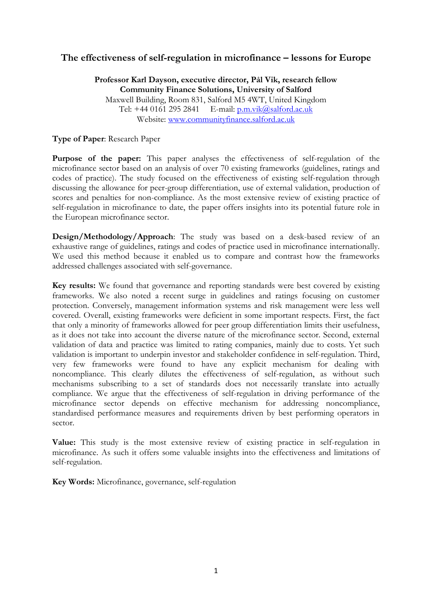# **The effectiveness of self-regulation in microfinance – lessons for Europe**

## **Professor Karl Dayson, executive director, Pål Vik, research fellow Community Finance Solutions, University of Salford**

Maxwell Building, Room 831, Salford M5 4WT, United Kingdom Tel:  $+4401612952841$  E-mail:  $p.m.vik@salford.ac.uk$ Website: [www.communityfinance.salford.ac.uk](http://www.communityfinance.salford.ac.uk/)

### **Type of Paper**: Research Paper

**Purpose of the paper:** This paper analyses the effectiveness of self-regulation of the microfinance sector based on an analysis of over 70 existing frameworks (guidelines, ratings and codes of practice). The study focused on the effectiveness of existing self-regulation through discussing the allowance for peer-group differentiation, use of external validation, production of scores and penalties for non-compliance. As the most extensive review of existing practice of self-regulation in microfinance to date, the paper offers insights into its potential future role in the European microfinance sector.

**Design/Methodology/Approach**: The study was based on a desk-based review of an exhaustive range of guidelines, ratings and codes of practice used in microfinance internationally. We used this method because it enabled us to compare and contrast how the frameworks addressed challenges associated with self-governance.

**Key results:** We found that governance and reporting standards were best covered by existing frameworks. We also noted a recent surge in guidelines and ratings focusing on customer protection. Conversely, management information systems and risk management were less well covered. Overall, existing frameworks were deficient in some important respects. First, the fact that only a minority of frameworks allowed for peer group differentiation limits their usefulness, as it does not take into account the diverse nature of the microfinance sector. Second, external validation of data and practice was limited to rating companies, mainly due to costs. Yet such validation is important to underpin investor and stakeholder confidence in self-regulation. Third, very few frameworks were found to have any explicit mechanism for dealing with noncompliance. This clearly dilutes the effectiveness of self-regulation, as without such mechanisms subscribing to a set of standards does not necessarily translate into actually compliance. We argue that the effectiveness of self-regulation in driving performance of the microfinance sector depends on effective mechanism for addressing noncompliance, standardised performance measures and requirements driven by best performing operators in sector.

**Value:** This study is the most extensive review of existing practice in self-regulation in microfinance. As such it offers some valuable insights into the effectiveness and limitations of self-regulation.

**Key Words:** Microfinance, governance, self-regulation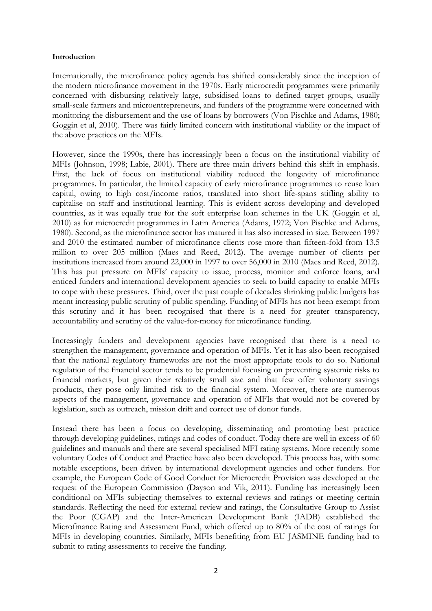#### **Introduction**

Internationally, the microfinance policy agenda has shifted considerably since the inception of the modern microfinance movement in the 1970s. Early microcredit programmes were primarily concerned with disbursing relatively large, subsidised loans to defined target groups, usually small-scale farmers and microentrepreneurs, and funders of the programme were concerned with monitoring the disbursement and the use of loans by borrowers (Von Pischke and Adams, 1980; Goggin et al, 2010). There was fairly limited concern with institutional viability or the impact of the above practices on the MFIs.

However, since the 1990s, there has increasingly been a focus on the institutional viability of MFIs (Johnson, 1998; Labie, 2001). There are three main drivers behind this shift in emphasis. First, the lack of focus on institutional viability reduced the longevity of microfinance programmes. In particular, the limited capacity of early microfinance programmes to reuse loan capital, owing to high cost/income ratios, translated into short life-spans stifling ability to capitalise on staff and institutional learning. This is evident across developing and developed countries, as it was equally true for the soft enterprise loan schemes in the UK (Goggin et al, 2010) as for microcredit programmes in Latin America (Adams, 1972; Von Pischke and Adams, 1980). Second, as the microfinance sector has matured it has also increased in size. Between 1997 and 2010 the estimated number of microfinance clients rose more than fifteen-fold from 13.5 million to over 205 million (Maes and Reed, 2012). The average number of clients per institutions increased from around 22,000 in 1997 to over 56,000 in 2010 (Maes and Reed, 2012). This has put pressure on MFIs' capacity to issue, process, monitor and enforce loans, and enticed funders and international development agencies to seek to build capacity to enable MFIs to cope with these pressures. Third, over the past couple of decades shrinking public budgets has meant increasing public scrutiny of public spending. Funding of MFIs has not been exempt from this scrutiny and it has been recognised that there is a need for greater transparency, accountability and scrutiny of the value-for-money for microfinance funding.

Increasingly funders and development agencies have recognised that there is a need to strengthen the management, governance and operation of MFIs. Yet it has also been recognised that the national regulatory frameworks are not the most appropriate tools to do so. National regulation of the financial sector tends to be prudential focusing on preventing systemic risks to financial markets, but given their relatively small size and that few offer voluntary savings products, they pose only limited risk to the financial system. Moreover, there are numerous aspects of the management, governance and operation of MFIs that would not be covered by legislation, such as outreach, mission drift and correct use of donor funds.

Instead there has been a focus on developing, disseminating and promoting best practice through developing guidelines, ratings and codes of conduct. Today there are well in excess of 60 guidelines and manuals and there are several specialised MFI rating systems. More recently some voluntary Codes of Conduct and Practice have also been developed. This process has, with some notable exceptions, been driven by international development agencies and other funders. For example, the European Code of Good Conduct for Microcredit Provision was developed at the request of the European Commission (Dayson and Vik, 2011). Funding has increasingly been conditional on MFIs subjecting themselves to external reviews and ratings or meeting certain standards. Reflecting the need for external review and ratings, the Consultative Group to Assist the Poor (CGAP) and the Inter-American Development Bank (IADB) established the Microfinance Rating and Assessment Fund, which offered up to 80% of the cost of ratings for MFIs in developing countries. Similarly, MFIs benefiting from EU JASMINE funding had to submit to rating assessments to receive the funding.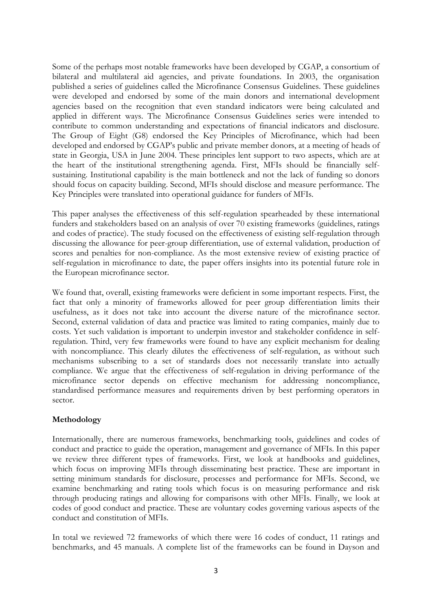Some of the perhaps most notable frameworks have been developed by CGAP, a consortium of bilateral and multilateral aid agencies, and private foundations. In 2003, the organisation published a series of guidelines called the Microfinance Consensus Guidelines. These guidelines were developed and endorsed by some of the main donors and international development agencies based on the recognition that even standard indicators were being calculated and applied in different ways. The Microfinance Consensus Guidelines series were intended to contribute to common understanding and expectations of financial indicators and disclosure. The Group of Eight (G8) endorsed the Key Principles of Microfinance, which had been developed and endorsed by CGAP's public and private member donors, at a meeting of heads of state in Georgia, USA in June 2004. These principles lent support to two aspects, which are at the heart of the institutional strengthening agenda. First, MFIs should be financially selfsustaining. Institutional capability is the main bottleneck and not the lack of funding so donors should focus on capacity building. Second, MFIs should disclose and measure performance. The Key Principles were translated into operational guidance for funders of MFIs.

This paper analyses the effectiveness of this self-regulation spearheaded by these international funders and stakeholders based on an analysis of over 70 existing frameworks (guidelines, ratings and codes of practice). The study focused on the effectiveness of existing self-regulation through discussing the allowance for peer-group differentiation, use of external validation, production of scores and penalties for non-compliance. As the most extensive review of existing practice of self-regulation in microfinance to date, the paper offers insights into its potential future role in the European microfinance sector.

We found that, overall, existing frameworks were deficient in some important respects. First, the fact that only a minority of frameworks allowed for peer group differentiation limits their usefulness, as it does not take into account the diverse nature of the microfinance sector. Second, external validation of data and practice was limited to rating companies, mainly due to costs. Yet such validation is important to underpin investor and stakeholder confidence in selfregulation. Third, very few frameworks were found to have any explicit mechanism for dealing with noncompliance. This clearly dilutes the effectiveness of self-regulation, as without such mechanisms subscribing to a set of standards does not necessarily translate into actually compliance. We argue that the effectiveness of self-regulation in driving performance of the microfinance sector depends on effective mechanism for addressing noncompliance, standardised performance measures and requirements driven by best performing operators in sector.

## **Methodology**

Internationally, there are numerous frameworks, benchmarking tools, guidelines and codes of conduct and practice to guide the operation, management and governance of MFIs. In this paper we review three different types of frameworks. First, we look at handbooks and guidelines, which focus on improving MFIs through disseminating best practice. These are important in setting minimum standards for disclosure, processes and performance for MFIs. Second, we examine benchmarking and rating tools which focus is on measuring performance and risk through producing ratings and allowing for comparisons with other MFIs. Finally, we look at codes of good conduct and practice. These are voluntary codes governing various aspects of the conduct and constitution of MFIs.

In total we reviewed 72 frameworks of which there were 16 codes of conduct, 11 ratings and benchmarks, and 45 manuals. A complete list of the frameworks can be found in Dayson and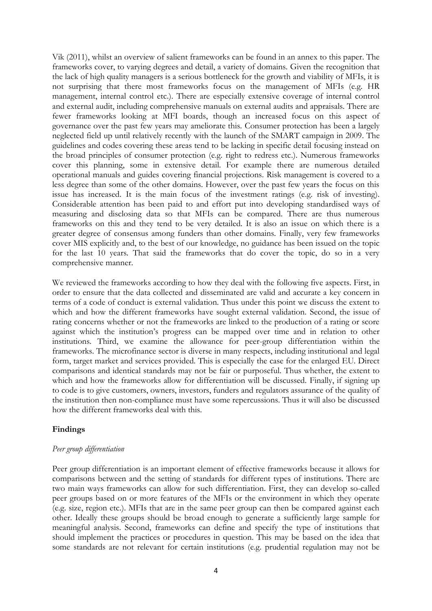Vik (2011), whilst an overview of salient frameworks can be found in an annex to this paper. The frameworks cover, to varying degrees and detail, a variety of domains. Given the recognition that the lack of high quality managers is a serious bottleneck for the growth and viability of MFIs, it is not surprising that there most frameworks focus on the management of MFIs (e.g. HR management, internal control etc.). There are especially extensive coverage of internal control and external audit, including comprehensive manuals on external audits and appraisals. There are fewer frameworks looking at MFI boards, though an increased focus on this aspect of governance over the past few years may ameliorate this. Consumer protection has been a largely neglected field up until relatively recently with the launch of the SMART campaign in 2009. The guidelines and codes covering these areas tend to be lacking in specific detail focusing instead on the broad principles of consumer protection (e.g. right to redress etc.). Numerous frameworks cover this planning, some in extensive detail. For example there are numerous detailed operational manuals and guides covering financial projections. Risk management is covered to a less degree than some of the other domains. However, over the past few years the focus on this issue has increased. It is the main focus of the investment ratings (e.g. risk of investing). Considerable attention has been paid to and effort put into developing standardised ways of measuring and disclosing data so that MFIs can be compared. There are thus numerous frameworks on this and they tend to be very detailed. It is also an issue on which there is a greater degree of consensus among funders than other domains. Finally, very few frameworks cover MIS explicitly and, to the best of our knowledge, no guidance has been issued on the topic for the last 10 years. That said the frameworks that do cover the topic, do so in a very comprehensive manner.

We reviewed the frameworks according to how they deal with the following five aspects. First, in order to ensure that the data collected and disseminated are valid and accurate a key concern in terms of a code of conduct is external validation. Thus under this point we discuss the extent to which and how the different frameworks have sought external validation. Second, the issue of rating concerns whether or not the frameworks are linked to the production of a rating or score against which the institution's progress can be mapped over time and in relation to other institutions. Third, we examine the allowance for peer-group differentiation within the frameworks. The microfinance sector is diverse in many respects, including institutional and legal form, target market and services provided. This is especially the case for the enlarged EU. Direct comparisons and identical standards may not be fair or purposeful. Thus whether, the extent to which and how the frameworks allow for differentiation will be discussed. Finally, if signing up to code is to give customers, owners, investors, funders and regulators assurance of the quality of the institution then non-compliance must have some repercussions. Thus it will also be discussed how the different frameworks deal with this.

#### **Findings**

#### *Peer group differentiation*

Peer group differentiation is an important element of effective frameworks because it allows for comparisons between and the setting of standards for different types of institutions. There are two main ways frameworks can allow for such differentiation. First, they can develop so-called peer groups based on or more features of the MFIs or the environment in which they operate (e.g. size, region etc.). MFIs that are in the same peer group can then be compared against each other. Ideally these groups should be broad enough to generate a sufficiently large sample for meaningful analysis. Second, frameworks can define and specify the type of institutions that should implement the practices or procedures in question. This may be based on the idea that some standards are not relevant for certain institutions (e.g. prudential regulation may not be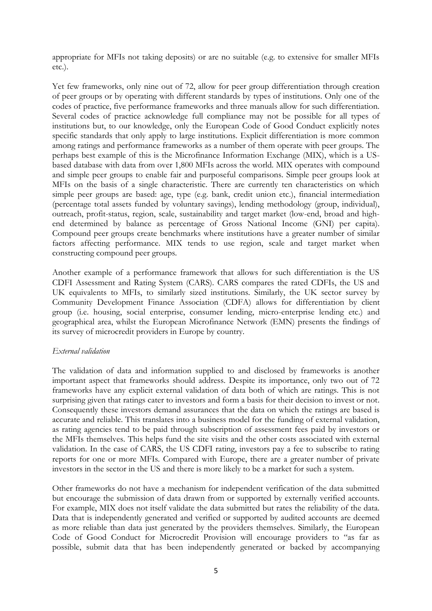appropriate for MFIs not taking deposits) or are no suitable (e.g. to extensive for smaller MFIs etc.).

Yet few frameworks, only nine out of 72, allow for peer group differentiation through creation of peer groups or by operating with different standards by types of institutions. Only one of the codes of practice, five performance frameworks and three manuals allow for such differentiation. Several codes of practice acknowledge full compliance may not be possible for all types of institutions but, to our knowledge, only the European Code of Good Conduct explicitly notes specific standards that only apply to large institutions. Explicit differentiation is more common among ratings and performance frameworks as a number of them operate with peer groups. The perhaps best example of this is the Microfinance Information Exchange (MIX), which is a USbased database with data from over 1,800 MFIs across the world. MIX operates with compound and simple peer groups to enable fair and purposeful comparisons. Simple peer groups look at MFIs on the basis of a single characteristic. There are currently ten characteristics on which simple peer groups are based: age, type (e.g. bank, credit union etc.), financial intermediation (percentage total assets funded by voluntary savings), lending methodology (group, individual), outreach, profit-status, region, scale, sustainability and target market (low-end, broad and highend determined by balance as percentage of Gross National Income (GNI) per capita). Compound peer groups create benchmarks where institutions have a greater number of similar factors affecting performance. MIX tends to use region, scale and target market when constructing compound peer groups.

Another example of a performance framework that allows for such differentiation is the US CDFI Assessment and Rating System (CARS). CARS compares the rated CDFIs, the US and UK equivalents to MFIs, to similarly sized institutions. Similarly, the UK sector survey by Community Development Finance Association (CDFA) allows for differentiation by client group (i.e. housing, social enterprise, consumer lending, micro-enterprise lending etc.) and geographical area, whilst the European Microfinance Network (EMN) presents the findings of its survey of microcredit providers in Europe by country.

#### *External validation*

The validation of data and information supplied to and disclosed by frameworks is another important aspect that frameworks should address. Despite its importance, only two out of 72 frameworks have any explicit external validation of data both of which are ratings. This is not surprising given that ratings cater to investors and form a basis for their decision to invest or not. Consequently these investors demand assurances that the data on which the ratings are based is accurate and reliable. This translates into a business model for the funding of external validation, as rating agencies tend to be paid through subscription of assessment fees paid by investors or the MFIs themselves. This helps fund the site visits and the other costs associated with external validation. In the case of CARS, the US CDFI rating, investors pay a fee to subscribe to rating reports for one or more MFIs. Compared with Europe, there are a greater number of private investors in the sector in the US and there is more likely to be a market for such a system.

Other frameworks do not have a mechanism for independent verification of the data submitted but encourage the submission of data drawn from or supported by externally verified accounts. For example, MIX does not itself validate the data submitted but rates the reliability of the data. Data that is independently generated and verified or supported by audited accounts are deemed as more reliable than data just generated by the providers themselves. Similarly, the European Code of Good Conduct for Microcredit Provision will encourage providers to "as far as possible, submit data that has been independently generated or backed by accompanying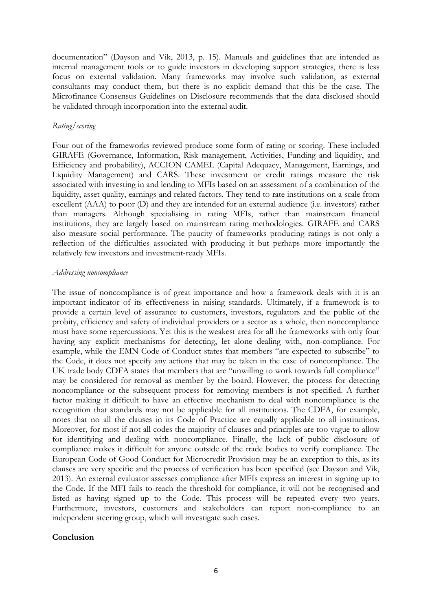documentation" (Dayson and Vik, 2013, p. 15). Manuals and guidelines that are intended as internal management tools or to guide investors in developing support strategies, there is less focus on external validation. Many frameworks may involve such validation, as external consultants may conduct them, but there is no explicit demand that this be the case. The Microfinance Consensus Guidelines on Disclosure recommends that the data disclosed should be validated through incorporation into the external audit.

#### *Rating/scoring*

Four out of the frameworks reviewed produce some form of rating or scoring. These included GIRAFE (Governance, Information, Risk management, Activities, Funding and liquidity, and Efficiency and probability), ACCION CAMEL (Capital Adequacy, Management, Earnings, and Liquidity Management) and CARS. These investment or credit ratings measure the risk associated with investing in and lending to MFIs based on an assessment of a combination of the liquidity, asset quality, earnings and related factors. They tend to rate institutions on a scale from excellent (AAA) to poor (D) and they are intended for an external audience (i.e. investors) rather than managers. Although specialising in rating MFIs, rather than mainstream financial institutions, they are largely based on mainstream rating methodologies. GIRAFE and CARS also measure social performance. The paucity of frameworks producing ratings is not only a reflection of the difficulties associated with producing it but perhaps more importantly the relatively few investors and investment-ready MFIs.

#### *Addressing noncompliance*

The issue of noncompliance is of great importance and how a framework deals with it is an important indicator of its effectiveness in raising standards. Ultimately, if a framework is to provide a certain level of assurance to customers, investors, regulators and the public of the probity, efficiency and safety of individual providers or a sector as a whole, then noncompliance must have some repercussions. Yet this is the weakest area for all the frameworks with only four having any explicit mechanisms for detecting, let alone dealing with, non-compliance. For example, while the EMN Code of Conduct states that members "are expected to subscribe" to the Code, it does not specify any actions that may be taken in the case of noncompliance. The UK trade body CDFA states that members that are "unwilling to work towards full compliance" may be considered for removal as member by the board. However, the process for detecting noncompliance or the subsequent process for removing members is not specified. A further factor making it difficult to have an effective mechanism to deal with noncompliance is the recognition that standards may not be applicable for all institutions. The CDFA, for example, notes that no all the clauses in its Code of Practice are equally applicable to all institutions. Moreover, for most if not all codes the majority of clauses and principles are too vague to allow for identifying and dealing with noncompliance. Finally, the lack of public disclosure of compliance makes it difficult for anyone outside of the trade bodies to verify compliance. The European Code of Good Conduct for Microcredit Provision may be an exception to this, as its clauses are very specific and the process of verification has been specified (see Dayson and Vik, 2013). An external evaluator assesses compliance after MFIs express an interest in signing up to the Code. If the MFI fails to reach the threshold for compliance, it will not be recognised and listed as having signed up to the Code. This process will be repeated every two years. Furthermore, investors, customers and stakeholders can report non-compliance to an independent steering group, which will investigate such cases.

#### **Conclusion**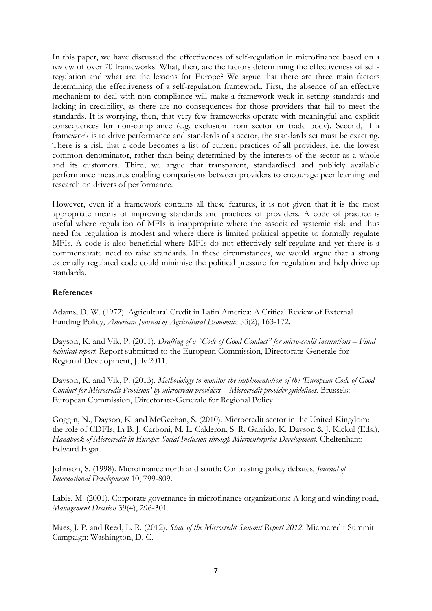In this paper, we have discussed the effectiveness of self-regulation in microfinance based on a review of over 70 frameworks. What, then, are the factors determining the effectiveness of selfregulation and what are the lessons for Europe? We argue that there are three main factors determining the effectiveness of a self-regulation framework. First, the absence of an effective mechanism to deal with non-compliance will make a framework weak in setting standards and lacking in credibility, as there are no consequences for those providers that fail to meet the standards. It is worrying, then, that very few frameworks operate with meaningful and explicit consequences for non-compliance (e.g. exclusion from sector or trade body). Second, if a framework is to drive performance and standards of a sector, the standards set must be exacting. There is a risk that a code becomes a list of current practices of all providers, i.e. the lowest common denominator, rather than being determined by the interests of the sector as a whole and its customers. Third, we argue that transparent, standardised and publicly available performance measures enabling comparisons between providers to encourage peer learning and research on drivers of performance.

However, even if a framework contains all these features, it is not given that it is the most appropriate means of improving standards and practices of providers. A code of practice is useful where regulation of MFIs is inappropriate where the associated systemic risk and thus need for regulation is modest and where there is limited political appetite to formally regulate MFIs. A code is also beneficial where MFIs do not effectively self-regulate and yet there is a commensurate need to raise standards. In these circumstances, we would argue that a strong externally regulated code could minimise the political pressure for regulation and help drive up standards.

### **References**

Adams, D. W. (1972). Agricultural Credit in Latin America: A Critical Review of External Funding Policy, *American Journal of Agricultural Economics* 53(2), 163-172.

Dayson, K. and Vik, P. (2011). *Drafting of a "Code of Good Conduct" for micro-credit institutions – Final technical report.* Report submitted to the European Commission, Directorate-Generale for Regional Development, July 2011.

Dayson, K. and Vik, P. (2013). *Methodology to monitor the implementation of the 'European Code of Good Conduct for Microcredit Provision' by microcredit providers – Microcredit provider guidelines.* Brussels: European Commission, Directorate-Generale for Regional Policy.

Goggin, N., Dayson, K. and McGeehan, S. (2010). Microcredit sector in the United Kingdom: the role of CDFIs, In B. J. Carboni, M. L. Calderon, S. R. Garrido, K. Dayson & J. Kickul (Eds.), *Handbook of Microcredit in Europe: Social Inclusion through Microenterprise Development.* Cheltenham: Edward Elgar.

Johnson, S. (1998). Microfinance north and south: Contrasting policy debates, *Journal of International Development* 10, 799-809.

Labie, M. (2001). Corporate governance in microfinance organizations: A long and winding road, *Management Decision* 39(4), 296-301.

Maes, J. P. and Reed, L. R. (2012). *State of the Microcredit Summit Report 2012.* Microcredit Summit Campaign: Washington, D. C.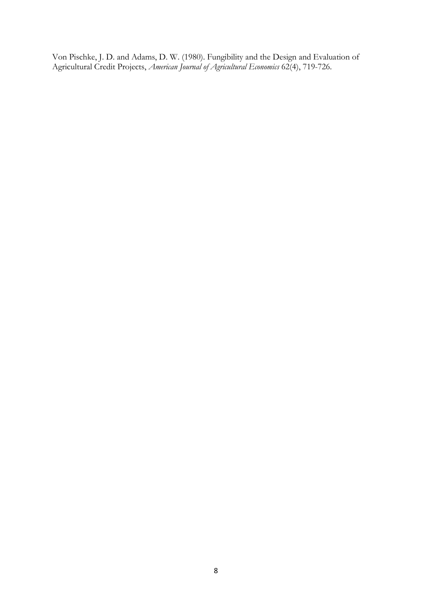Von Pischke, J. D. and Adams, D. W. (1980). Fungibility and the Design and Evaluation of Agricultural Credit Projects, *American Journal of Agricultural Economics* 62(4), 719-726.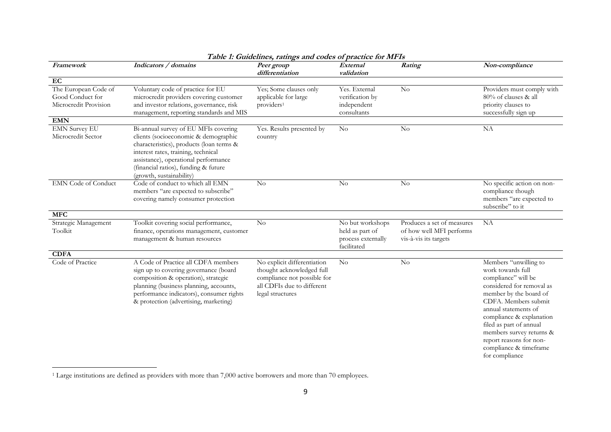| Framework                                                         | Indicators / domains                                                                                                                                                                                                                                                        | Taon T. Guidennes, Taungs and couls of practice for the 1s<br>Peer group<br>differentiation                                               | External<br>validation                                                   | Rating                                                                          | Non-compliance                                                                                                                                                                                                                                                                                                                     |
|-------------------------------------------------------------------|-----------------------------------------------------------------------------------------------------------------------------------------------------------------------------------------------------------------------------------------------------------------------------|-------------------------------------------------------------------------------------------------------------------------------------------|--------------------------------------------------------------------------|---------------------------------------------------------------------------------|------------------------------------------------------------------------------------------------------------------------------------------------------------------------------------------------------------------------------------------------------------------------------------------------------------------------------------|
| EC                                                                |                                                                                                                                                                                                                                                                             |                                                                                                                                           |                                                                          |                                                                                 |                                                                                                                                                                                                                                                                                                                                    |
| The European Code of<br>Good Conduct for<br>Microcredit Provision | Voluntary code of practice for EU<br>microcredit providers covering customer<br>and investor relations, governance, risk<br>management, reporting standards and MIS                                                                                                         | Yes; Some clauses only<br>applicable for large<br>providers <sup>1</sup>                                                                  | Yes. External<br>verification by<br>independent<br>consultants           | $\rm No$                                                                        | Providers must comply with<br>80% of clauses & all<br>priority clauses to<br>successfully sign up                                                                                                                                                                                                                                  |
| <b>EMN</b>                                                        |                                                                                                                                                                                                                                                                             |                                                                                                                                           |                                                                          |                                                                                 |                                                                                                                                                                                                                                                                                                                                    |
| <b>EMN Survey EU</b><br>Microcredit Sector                        | Bi-annual survey of EU MFIs covering<br>clients (socioeconomic & demographic<br>characteristics), products (loan terms &<br>interest rates, training, technical<br>assistance), operational performance<br>(financial ratios), funding & future<br>(growth, sustainability) | Yes. Results presented by<br>country                                                                                                      | $\rm No$                                                                 | $\rm No$                                                                        | NA                                                                                                                                                                                                                                                                                                                                 |
| <b>EMN</b> Code of Conduct                                        | Code of conduct to which all EMN<br>members "are expected to subscribe"<br>covering namely consumer protection                                                                                                                                                              | No                                                                                                                                        | $\rm No$                                                                 | No                                                                              | No specific action on non-<br>compliance though<br>members "are expected to<br>subscribe" to it                                                                                                                                                                                                                                    |
| <b>MFC</b>                                                        |                                                                                                                                                                                                                                                                             |                                                                                                                                           |                                                                          |                                                                                 |                                                                                                                                                                                                                                                                                                                                    |
| Strategic Management<br>Toolkit                                   | Toolkit covering social performance,<br>finance, operations management, customer<br>management & human resources                                                                                                                                                            | $\rm No$                                                                                                                                  | No but workshops<br>held as part of<br>process externally<br>facilitated | Produces a set of measures<br>of how well MFI performs<br>vis-à-vis its targets | NA                                                                                                                                                                                                                                                                                                                                 |
| <b>CDFA</b>                                                       |                                                                                                                                                                                                                                                                             |                                                                                                                                           |                                                                          |                                                                                 |                                                                                                                                                                                                                                                                                                                                    |
| Code of Practice                                                  | A Code of Practice all CDFA members<br>sign up to covering governance (board<br>composition & operation), strategic<br>planning (business planning, accounts,<br>performance indicators), consumer rights<br>& protection (advertising, marketing)                          | No explicit differentiation<br>thought acknowledged full<br>compliance not possible for<br>all CDFIs due to different<br>legal structures | $\rm No$                                                                 | $\rm No$                                                                        | Members "unwilling to<br>work towards full<br>compliance" will be<br>considered for removal as<br>member by the board of<br>CDFA. Members submit<br>annual statements of<br>compliance & explanation<br>filed as part of annual<br>members survey returns &<br>report reasons for non-<br>compliance & timeframe<br>for compliance |

**Table 1: Guidelines, ratings and codes of practice for MFIs**

 $\overline{a}$ 

<sup>&</sup>lt;sup>1</sup> Large institutions are defined as providers with more than 7,000 active borrowers and more than 70 employees.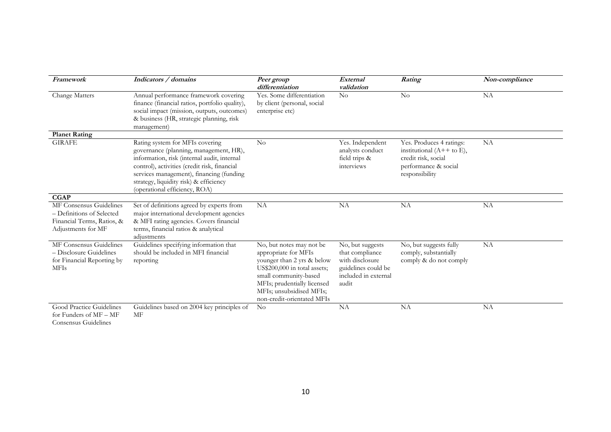| Framework                                                                                                | Indicators / domains                                                                                                                                                                                                                                                                            | Peer group<br>differentiation                                                                                                                                                                                                    | External<br>validation                                                                                         | Rating                                                                                                                   | Non-compliance |
|----------------------------------------------------------------------------------------------------------|-------------------------------------------------------------------------------------------------------------------------------------------------------------------------------------------------------------------------------------------------------------------------------------------------|----------------------------------------------------------------------------------------------------------------------------------------------------------------------------------------------------------------------------------|----------------------------------------------------------------------------------------------------------------|--------------------------------------------------------------------------------------------------------------------------|----------------|
| Change Matters                                                                                           | Annual performance framework covering<br>finance (financial ratios, portfolio quality),<br>social impact (mission, outputs, outcomes)<br>& business (HR, strategic planning, risk<br>management)                                                                                                | Yes. Some differentiation<br>by client (personal, social<br>enterprise etc)                                                                                                                                                      | No                                                                                                             | No                                                                                                                       | NA             |
| <b>Planet Rating</b>                                                                                     |                                                                                                                                                                                                                                                                                                 |                                                                                                                                                                                                                                  |                                                                                                                |                                                                                                                          |                |
| <b>GIRAFE</b>                                                                                            | Rating system for MFIs covering<br>governance (planning, management, HR),<br>information, risk (internal audit, internal<br>control), activities (credit risk, financial<br>services management), financing (funding<br>strategy, liquidity risk) & efficiency<br>(operational efficiency, ROA) | No                                                                                                                                                                                                                               | Yes. Independent<br>analysts conduct<br>field trips &<br>interviews                                            | Yes. Produces 4 ratings:<br>institutional $(A++$ to E),<br>credit risk, social<br>performance & social<br>responsibility | NA             |
| <b>CGAP</b>                                                                                              |                                                                                                                                                                                                                                                                                                 |                                                                                                                                                                                                                                  |                                                                                                                |                                                                                                                          |                |
| MF Consensus Guidelines<br>- Definitions of Selected<br>Financial Terms, Ratios, &<br>Adjustments for MF | Set of definitions agreed by experts from<br>major international development agencies<br>& MFI rating agencies. Covers financial<br>terms, financial ratios & analytical<br>adjustments                                                                                                         | NA                                                                                                                                                                                                                               | NA                                                                                                             | <b>NA</b>                                                                                                                | NA             |
| MF Consensus Guidelines<br>- Disclosure Guidelines<br>for Financial Reporting by<br><b>MFIs</b>          | Guidelines specifying information that<br>should be included in MFI financial<br>reporting                                                                                                                                                                                                      | No, but notes may not be<br>appropriate for MFIs<br>younger than 2 yrs & below<br>US\$200,000 in total assets;<br>small community-based<br>MFIs; prudentially licensed<br>MFIs; unsubsidised MFIs;<br>non-credit-orientated MFIs | No, but suggests<br>that compliance<br>with disclosure<br>guidelines could be<br>included in external<br>audit | No, but suggests fully<br>comply, substantially<br>comply & do not comply                                                | NA             |
| Good Practice Guidelines<br>for Funders of MF - MF<br>Consensus Guidelines                               | Guidelines based on 2004 key principles of<br>MF                                                                                                                                                                                                                                                | $\rm No$                                                                                                                                                                                                                         | NA                                                                                                             | <b>NA</b>                                                                                                                | NA             |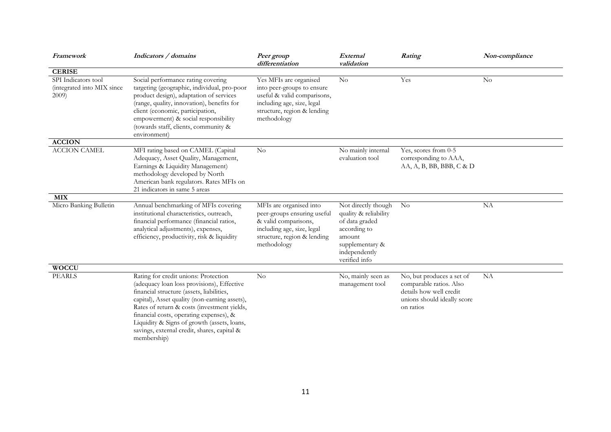| Framework                                                     | Indicators / domains                                                                                                                                                                                                                                                                                                                                                                    | Peer group<br>differentiation                                                                                                                                   | External<br>validation                                                                                                                        | Rating                                                                                                                      | Non-compliance |
|---------------------------------------------------------------|-----------------------------------------------------------------------------------------------------------------------------------------------------------------------------------------------------------------------------------------------------------------------------------------------------------------------------------------------------------------------------------------|-----------------------------------------------------------------------------------------------------------------------------------------------------------------|-----------------------------------------------------------------------------------------------------------------------------------------------|-----------------------------------------------------------------------------------------------------------------------------|----------------|
| <b>CERISE</b>                                                 |                                                                                                                                                                                                                                                                                                                                                                                         |                                                                                                                                                                 |                                                                                                                                               |                                                                                                                             |                |
| SPI Indicators tool<br>(integrated into MIX since<br>$2009$ ) | Social performance rating covering<br>targeting (geographic, individual, pro-poor<br>product design), adaptation of services<br>(range, quality, innovation), benefits for<br>client (economic, participation,<br>empowerment) & social responsibility<br>(towards staff, clients, community &<br>environment)                                                                          | Yes MFIs are organised<br>into peer-groups to ensure<br>useful & valid comparisons,<br>including age, size, legal<br>structure, region & lending<br>methodology | $\rm No$                                                                                                                                      | Yes                                                                                                                         | $\rm No$       |
| <b>ACCION</b>                                                 |                                                                                                                                                                                                                                                                                                                                                                                         |                                                                                                                                                                 |                                                                                                                                               |                                                                                                                             |                |
| <b>ACCION CAMEL</b>                                           | MFI rating based on CAMEL (Capital<br>Adequacy, Asset Quality, Management,<br>Earnings & Liquidity Management)<br>methodology developed by North<br>American bank regulators. Rates MFIs on<br>21 indicators in same 5 areas                                                                                                                                                            | N <sub>o</sub>                                                                                                                                                  | No mainly internal<br>evaluation tool                                                                                                         | Yes, scores from 0-5<br>corresponding to AAA,<br>AA, A, B, BB, BBB, C & D                                                   |                |
| <b>MIX</b>                                                    |                                                                                                                                                                                                                                                                                                                                                                                         |                                                                                                                                                                 |                                                                                                                                               |                                                                                                                             |                |
| Micro Banking Bulletin                                        | Annual benchmarking of MFIs covering<br>institutional characteristics, outreach,<br>financial performance (financial ratios,<br>analytical adjustments), expenses,<br>efficiency, productivity, risk & liquidity                                                                                                                                                                        | MFIs are organised into<br>peer-groups ensuring useful<br>& valid comparisons,<br>including age, size, legal<br>structure, region & lending<br>methodology      | Not directly though<br>quality & reliability<br>of data graded<br>according to<br>amount<br>supplementary &<br>independently<br>verified info | N <sub>o</sub>                                                                                                              | <b>NA</b>      |
| <b>WOCCU</b>                                                  |                                                                                                                                                                                                                                                                                                                                                                                         |                                                                                                                                                                 |                                                                                                                                               |                                                                                                                             |                |
| PEARLS                                                        | Rating for credit unions: Protection<br>(adequacy loan loss provisions), Effective<br>financial structure (assets, liabilities,<br>capital), Asset quality (non-earning assets),<br>Rates of return & costs (investment yields,<br>financial costs, operating expenses), &<br>Liquidity & Signs of growth (assets, loans,<br>savings, external credit, shares, capital &<br>membership) | $\rm No$                                                                                                                                                        | No, mainly seen as<br>management tool                                                                                                         | No, but produces a set of<br>comparable ratios. Also<br>details how well credit<br>unions should ideally score<br>on ratios | NA             |